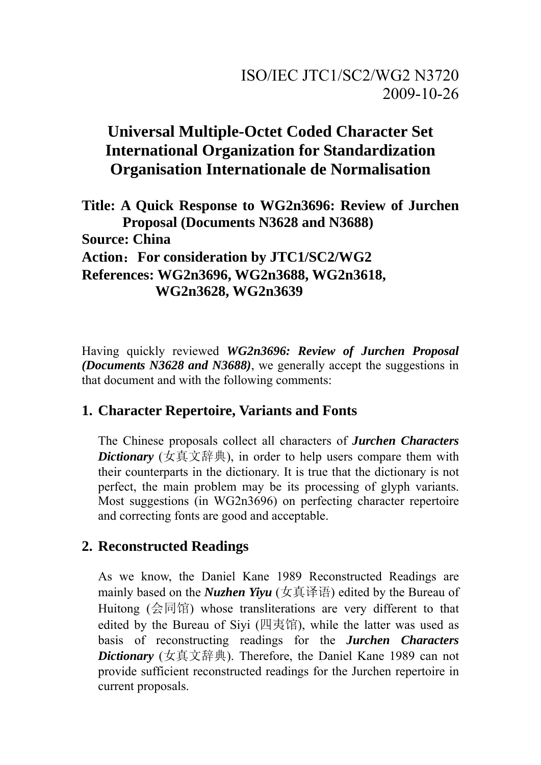# **Universal Multiple-Octet Coded Character Set International Organization for Standardization Organisation Internationale de Normalisation**

**Title: A Quick Response to WG2n3696: Review of Jurchen Proposal (Documents N3628 and N3688) Source: China Action**:**For consideration by JTC1/SC2/WG2 References: WG2n3696, WG2n3688, WG2n3618, WG2n3628, WG2n3639** 

Having quickly reviewed *WG2n3696: Review of Jurchen Proposal (Documents N3628 and N3688)*, we generally accept the suggestions in that document and with the following comments:

## **1. Character Repertoire, Variants and Fonts**

The Chinese proposals collect all characters of *Jurchen Characters Dictionary* (女真文辞典), in order to help users compare them with their counterparts in the dictionary. It is true that the dictionary is not perfect, the main problem may be its processing of glyph variants. Most suggestions (in WG2n3696) on perfecting character repertoire and correcting fonts are good and acceptable.

## **2. Reconstructed Readings**

As we know, the Daniel Kane 1989 Reconstructed Readings are mainly based on the *Nuzhen Yiyu* (女真译语) edited by the Bureau of Huitong (会同馆) whose transliterations are very different to that edited by the Bureau of Siyi (四夷馆), while the latter was used as basis of reconstructing readings for the *Jurchen Characters Dictionary* (女真文辞典). Therefore, the Daniel Kane 1989 can not provide sufficient reconstructed readings for the Jurchen repertoire in current proposals.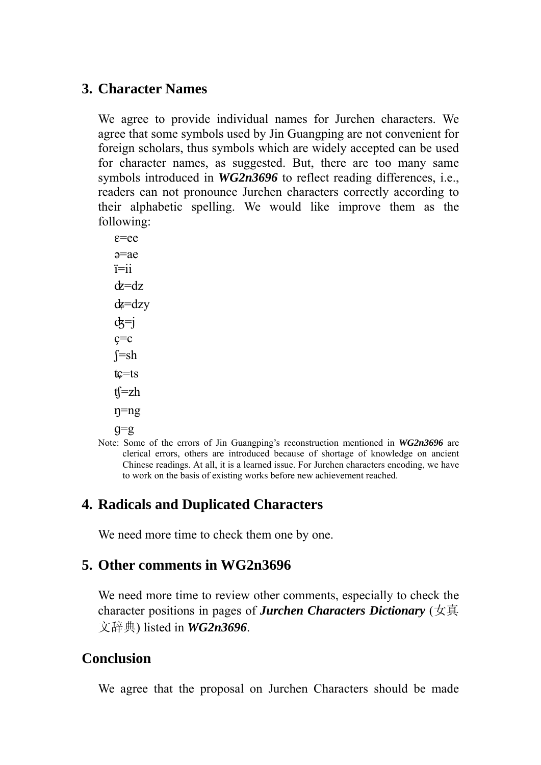#### **3. Character Names**

We agree to provide individual names for Jurchen characters. We agree that some symbols used by Jin Guangping are not convenient for foreign scholars, thus symbols which are widely accepted can be used for character names, as suggested. But, there are too many same symbols introduced in *WG2n3696* to reflect reading differences, i.e., readers can not pronounce Jurchen characters correctly according to their alphabetic spelling. We would like improve them as the following:

 $\varepsilon$ =ee ə=ae ï=ii  $d = dz$  $dz = dzy$  $d\overline{x}$ =j  $c=c$  $f = sh$  $tc = ts$  $t =zh$  $\eta = ng$  $q = g$ 

Note: Some of the errors of Jin Guangping's reconstruction mentioned in *WG2n3696* are clerical errors, others are introduced because of shortage of knowledge on ancient Chinese readings. At all, it is a learned issue. For Jurchen characters encoding, we have to work on the basis of existing works before new achievement reached.

## **4. Radicals and Duplicated Characters**

We need more time to check them one by one.

## **5. Other comments in WG2n3696**

We need more time to review other comments, especially to check the character positions in pages of *Jurchen Characters Dictionary* (女真 文辞典) listed in *WG2n3696*.

### **Conclusion**

We agree that the proposal on Jurchen Characters should be made